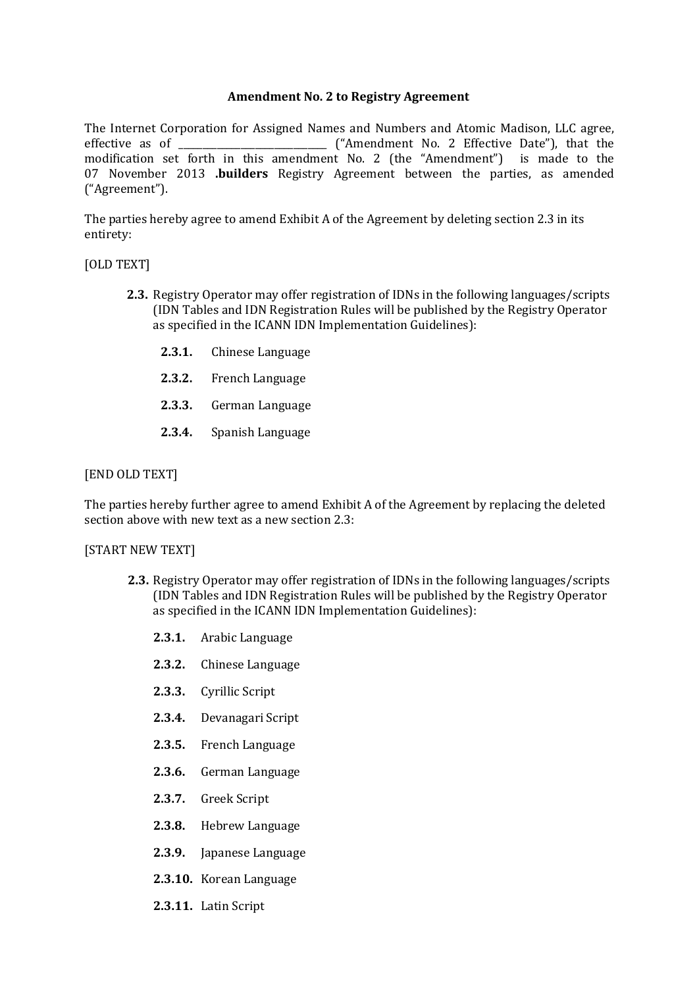## **Amendment No. 2 to Registry Agreement**

The Internet Corporation for Assigned Names and Numbers and Atomic Madison, LLC agree, effective as of \_\_\_\_\_\_\_\_\_\_\_\_\_\_\_\_\_\_\_\_\_\_\_\_\_\_\_\_\_\_\_ ("Amendment No. 2 Effective Date"), that the modification set forth in this amendment No. 2 (the "Amendment") is made to the 07 November 2013 **.builders** Registry Agreement between the parties, as amended ("Agreement").

The parties hereby agree to amend Exhibit A of the Agreement by deleting section 2.3 in its entirety:

## [OLD TEXT]

- **2.3.** Registry Operator may offer registration of IDNs in the following languages/scripts (IDN Tables and IDN Registration Rules will be published by the Registry Operator as specified in the ICANN IDN Implementation Guidelines):
	- **2.3.1.** Chinese Language
	- **2.3.2.** French Language
	- **2.3.3.** German Language
	- **2.3.4.** Spanish Language

## [END OLD TEXT]

The parties hereby further agree to amend Exhibit A of the Agreement by replacing the deleted section above with new text as a new section 2.3:

### [START NEW TEXT]

- **2.3.** Registry Operator may offer registration of IDNs in the following languages/scripts (IDN Tables and IDN Registration Rules will be published by the Registry Operator as specified in the ICANN IDN Implementation Guidelines):
	- **2.3.1.** Arabic Language
	- **2.3.2.** Chinese Language
	- **2.3.3.** Cyrillic Script
	- **2.3.4.** Devanagari Script
	- **2.3.5.** French Language
	- **2.3.6.** German Language
	- **2.3.7.** Greek Script
	- **2.3.8.** Hebrew Language
	- **2.3.9.** Japanese Language
	- **2.3.10.** Korean Language
	- **2.3.11.** Latin Script